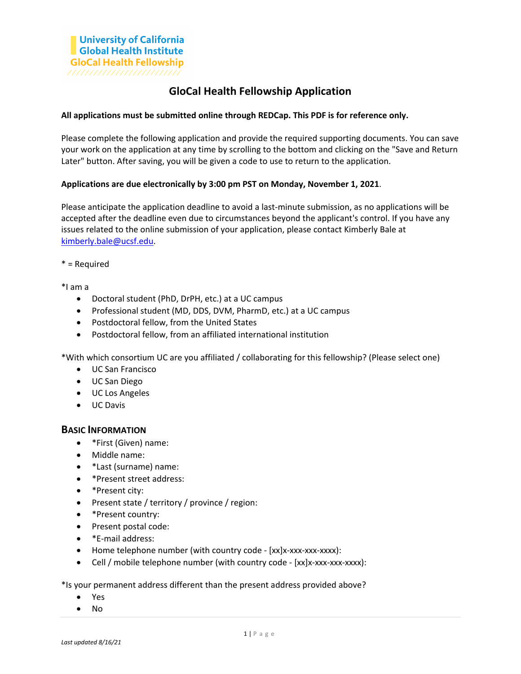## **GloCal Health Fellowship Application**

## **All applications must be submitted online through REDCap. This PDF is for reference only.**

Please complete the following application and provide the required supporting documents. You can save your work on the application at any time by scrolling to the bottom and clicking on the "Save and Return Later" button. After saving, you will be given a code to use to return to the application.

## **Applications are due electronically by 3:00 pm PST on Monday, November 1, 2021**.

Please anticipate the application deadline to avoid a last-minute submission, as no applications will be accepted after the deadline even due to circumstances beyond the applicant's control. If you have any issues related to the online submission of your application, please contact Kimberly Bale at [kimberly.bale@ucsf.edu.](mailto:kimberly.bale@ucsf.edu)

\* = Required

\*I am a

- Doctoral student (PhD, DrPH, etc.) at a UC campus
- Professional student (MD, DDS, DVM, PharmD, etc.) at a UC campus
- Postdoctoral fellow, from the United States
- Postdoctoral fellow, from an affiliated international institution

\*With which consortium UC are you affiliated / collaborating for this fellowship? (Please select one)

- UC San Francisco
- UC San Diego
- UC Los Angeles
- UC Davis

## **BASIC INFORMATION**

- \*First (Given) name:
- Middle name:
- \*Last (surname) name:
- \*Present street address:
- \*Present city:
- Present state / territory / province / region:
- \*Present country:
- Present postal code:
- \*E-mail address:
- Home telephone number (with country code [xx]x-xxx-xxx-xxxx):
- Cell / mobile telephone number (with country code [xx]x-xxx-xxx-xxxx):

\*Is your permanent address different than the present address provided above?

- Yes
- No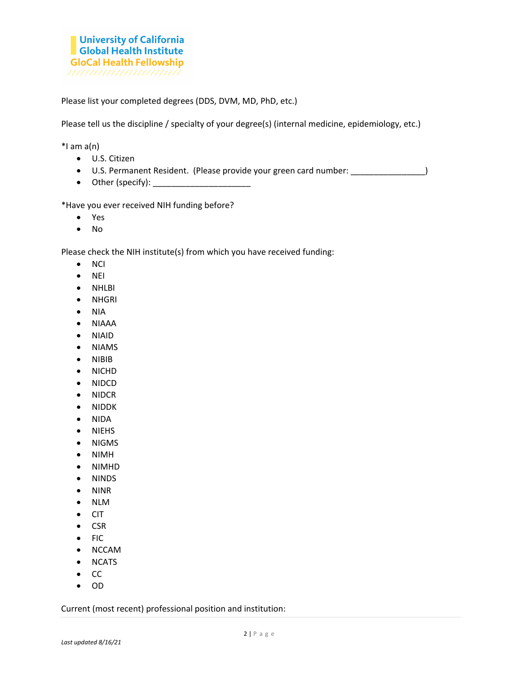Please list your completed degrees (DDS, DVM, MD, PhD, etc.)

Please tell us the discipline / specialty of your degree(s) (internal medicine, epidemiology, etc.)

 $*$ I am a(n)

- U.S. Citizen
- U.S. Permanent Resident. (Please provide your green card number: \_\_\_\_\_\_\_\_\_\_\_\_\_\_\_\_)
- Other (specify):  $\frac{1}{2}$  Other (specify):  $\frac{1}{2}$  Other (specify):

\*Have you ever received NIH funding before?

- Yes
- No

Please check the NIH institute(s) from which you have received funding:

- NCI
- NEI
- NHLBI
- NHGRI
- NIA
- NIAAA
- NIAID
- NIAMS
- NIBIB
- NICHD
- NIDCD
- NIDCR
- NIDDK
- NIDA
- NIEHS
- NIGMS
- NIMH
- NIMHD
- NINDS
- NINR
- NLM
- CIT
- CSR
- FIC
- NCCAM
- NCATS
- CC
- OD

Current (most recent) professional position and institution: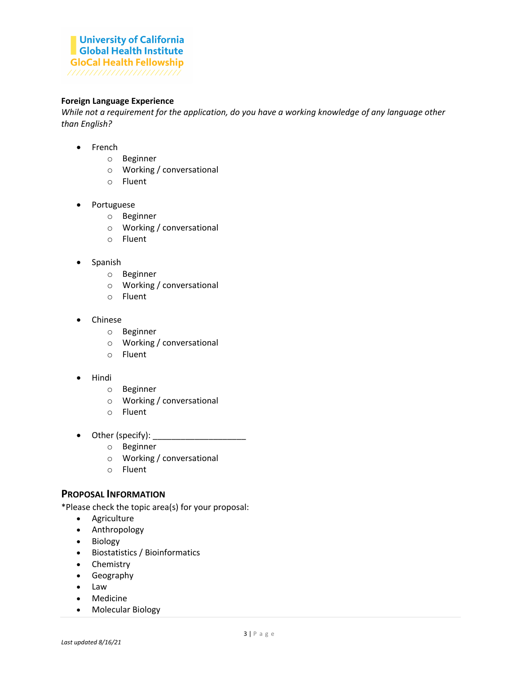## **Foreign Language Experience**

*While not a requirement for the application, do you have a working knowledge of any language other than English?*

- French
	- o Beginner
	- o Working / conversational
	- o Fluent
- Portuguese
	- o Beginner
	- o Working / conversational
	- o Fluent
- Spanish
	- o Beginner
	- o Working / conversational
	- o Fluent
- Chinese
	- o Beginner
	- o Working / conversational
	- o Fluent
- Hindi
	- o Beginner
	- o Working / conversational
	- o Fluent
- Other (specify): \_\_\_\_\_\_\_\_\_\_\_\_\_\_\_\_\_\_\_\_
	- o Beginner
	- o Working / conversational
	- o Fluent

## **PROPOSAL INFORMATION**

\*Please check the topic area(s) for your proposal:

- Agriculture
- Anthropology
- Biology
- Biostatistics / Bioinformatics
- Chemistry
- Geography
- Law
- Medicine
- Molecular Biology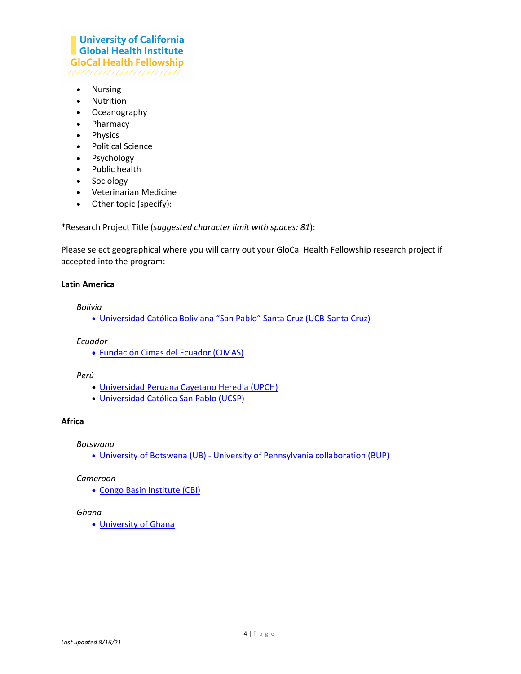# **University of California Global Health Institute GloCal Health Fellowship**

- Nursing
- Nutrition
- Oceanography
- Pharmacy
- Physics
- Political Science
- Psychology
- Public health
- Sociology
- Veterinarian Medicine
- Other topic (specify):  $\qquad \qquad$

\*Research Project Title (*suggested character limit with spaces: 81*):

Please select geographical where you will carry out your GloCal Health Fellowship research project if accepted into the program:

## **Latin America**

*Bolivia*

• [Universidad Católica Boliviana "San Pablo" Santa Cruz](https://scz.ucb.edu.bo/) (UCB-Santa Cruz)

#### *Ecuador*

• [Fundación Cimas del Ecuador \(CIMAS\)](http://www.cimas.edu.ec/)

#### *Perú*

- [Universidad Peruana Cayetano Heredia \(UPCH\)](http://www.upch.edu.pe/portal)
- [Universidad Católica San Pablo \(UCSP\)](https://ucsp.edu.pe/)

## **Africa**

*Botswana*

• University of Botswana (UB) - [University of Pennsylvania collaboration \(BUP\)](http://www.med.upenn.edu/botswana/)

#### *Cameroon*

• [Congo Basin Institute \(CBI\)](http://www.cbi.ucla.edu/)

## *Ghana*

• [University of Ghana](http://www.ug.edu.gh/)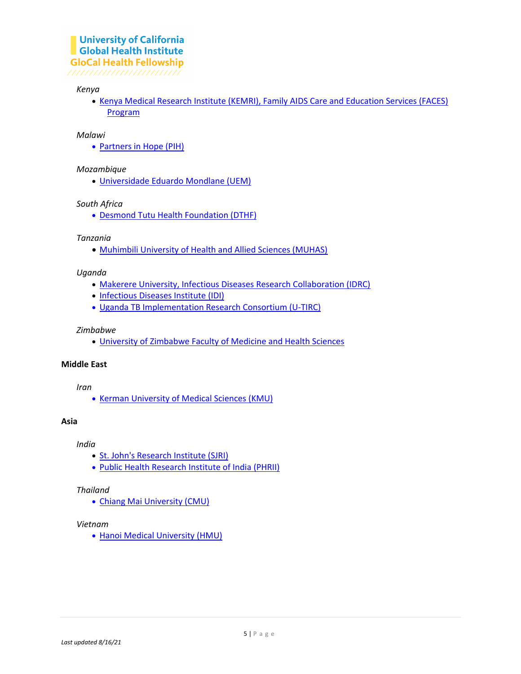#### *Kenya*

• [Kenya Medical Research Institute \(KEMRI\), Family AIDS Care and Education Services \(FACES\)](https://faces.ucsf.edu/)  [Program](https://faces.ucsf.edu/)

#### *Malawi*

• [Partners in Hope \(PIH\)](http://pihmalawi.com/)

## *Mozambique*

• [Universidade Eduardo Mondlane \(UEM\)](http://www.uem.mz/)

## *South Africa*

• [Desmond Tutu Health Foundation \(DTHF\)](https://desmondtutuhealthfoundation.org.za/)

#### *Tanzania*

• [Muhimbili University of Health and Allied Sciences \(MUHAS\)](https://www.muhas.ac.tz/)

#### *Uganda*

- [Makerere University, Infectious Diseases Research Collaboration \(IDRC\)](http://idrc-uganda.org/)
- [Infectious Diseases Institute](http://www.idi-makerere.com/) (IDI)
- [Uganda TB Implementation Research Consortium \(U-TIRC\)](https://www.u-tirc.org/)

#### *Zimbabwe*

• University of Zimbabwe [Faculty of Medicine and Health Sciences](https://www.uz.ac.zw/index.php/faculties-units/chs)

#### **Middle East**

*Iran*

• [Kerman University of Medical Sciences \(KMU\)](http://kmu.ac.ir/en)

#### **Asia**

*India*

- [St. John's Research Institute \(SJRI\)](http://www.sjri.res.in/)
- [Public Health Research Institute of India \(PHRII\)](http://www.phrii.com/)

#### *Thailand*

• [Chiang Mai University \(CMU\)](https://www.cmu.ac.th/en/)

## *Vietnam*

• [Hanoi Medical University \(HMU\)](http://en.hmu.edu.vn/)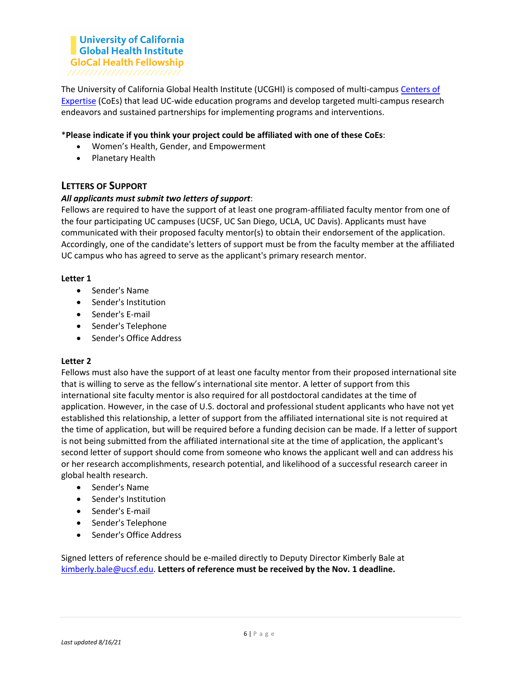The University of California Global Health Institute (UCGHI) is composed of multi-campus [Centers of](http://www.ucghi.universityofcalifornia.edu/coes/index.aspx)  [Expertise](http://www.ucghi.universityofcalifornia.edu/coes/index.aspx) (CoEs) that lead UC-wide education programs and develop targeted multi-campus research endeavors and sustained partnerships for implementing programs and interventions.

## \***Please indicate if you think your project could be affiliated with one of these CoEs**:

- Women's Health, Gender, and Empowerment
- Planetary Health

## **LETTERS OF SUPPORT**

## *All applicants must submit two letters of support*:

Fellows are required to have the support of at least one program-affiliated faculty mentor from one of the four participating UC campuses (UCSF, UC San Diego, UCLA, UC Davis). Applicants must have communicated with their proposed faculty mentor(s) to obtain their endorsement of the application. Accordingly, one of the candidate's letters of support must be from the faculty member at the affiliated UC campus who has agreed to serve as the applicant's primary research mentor.

## **Letter 1**

- Sender's Name
- Sender's Institution
- Sender's E-mail
- Sender's Telephone
- Sender's Office Address

#### **Letter 2**

Fellows must also have the support of at least one faculty mentor from their proposed international site that is willing to serve as the fellow's international site mentor. A letter of support from this international site faculty mentor is also required for all postdoctoral candidates at the time of application. However, in the case of U.S. doctoral and professional student applicants who have not yet established this relationship, a letter of support from the affiliated international site is not required at the time of application, but will be required before a funding decision can be made. If a letter of support is not being submitted from the affiliated international site at the time of application, the applicant's second letter of support should come from someone who knows the applicant well and can address his or her research accomplishments, research potential, and likelihood of a successful research career in global health research.

- Sender's Name
- Sender's Institution
- Sender's E-mail
- Sender's Telephone
- Sender's Office Address

Signed letters of reference should be e-mailed directly to Deputy Director Kimberly Bale at [kimberly.bale@ucsf.edu.](mailto:kimberly.bale@ucsf.edu) **Letters of reference must be received by the Nov. 1 deadline.**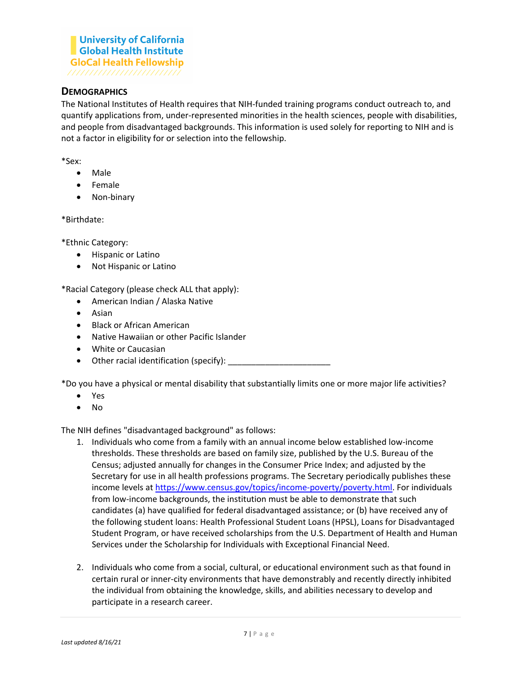## **DEMOGRAPHICS**

The National Institutes of Health requires that NIH-funded training programs conduct outreach to, and quantify applications from, under-represented minorities in the health sciences, people with disabilities, and people from disadvantaged backgrounds. This information is used solely for reporting to NIH and is not a factor in eligibility for or selection into the fellowship.

\*Sex:

- Male
- Female
- Non-binary

\*Birthdate:

\*Ethnic Category:

- Hispanic or Latino
- Not Hispanic or Latino

\*Racial Category (please check ALL that apply):

- American Indian / Alaska Native
- Asian
- Black or African American
- Native Hawaiian or other Pacific Islander
- White or Caucasian
- Other racial identification (specify):

\*Do you have a physical or mental disability that substantially limits one or more major life activities?

- Yes
- No

The NIH defines "disadvantaged background" as follows:

- 1. Individuals who come from a family with an annual income below established low-income thresholds. These thresholds are based on family size, published by the U.S. Bureau of the Census; adjusted annually for changes in the Consumer Price Index; and adjusted by the Secretary for use in all health professions programs. The Secretary periodically publishes these income levels a[t https://www.census.gov/topics/income-poverty/poverty.html.](https://www.census.gov/topics/income-poverty/poverty.html) For individuals from low-income backgrounds, the institution must be able to demonstrate that such candidates (a) have qualified for federal disadvantaged assistance; or (b) have received any of the following student loans: Health Professional Student Loans (HPSL), Loans for Disadvantaged Student Program, or have received scholarships from the U.S. Department of Health and Human Services under the Scholarship for Individuals with Exceptional Financial Need.
- 2. Individuals who come from a social, cultural, or educational environment such as that found in certain rural or inner-city environments that have demonstrably and recently directly inhibited the individual from obtaining the knowledge, skills, and abilities necessary to develop and participate in a research career.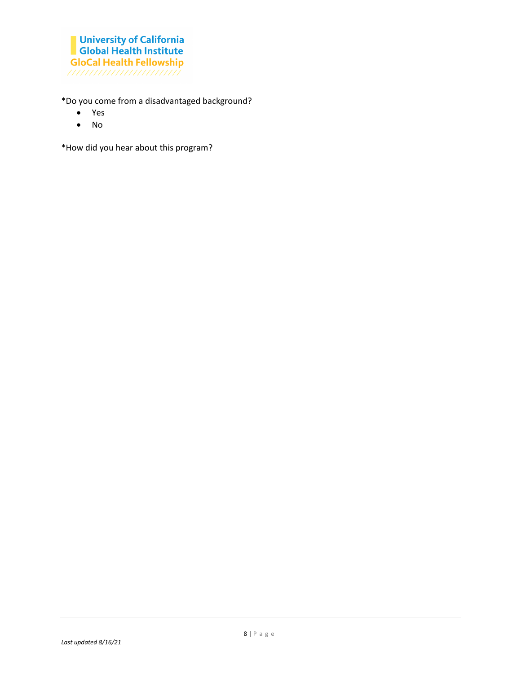\*Do you come from a disadvantaged background?

- Yes
- No

\*How did you hear about this program?